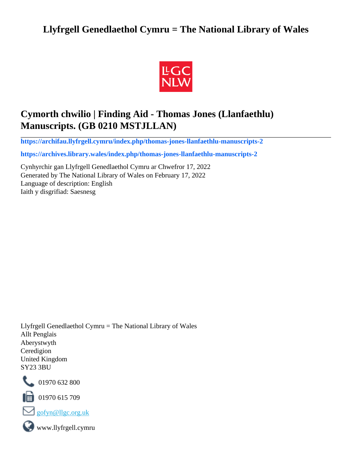# **Llyfrgell Genedlaethol Cymru = The National Library of Wales**



# **Cymorth chwilio | Finding Aid - Thomas Jones (Llanfaethlu) Manuscripts. (GB 0210 MSTJLLAN)**

**[https://archifau.llyfrgell.cymru/index.php/thomas-jones-llanfaethlu-manuscripts-2](https://archifau.llyfrgell.cymru/index.php/thomas-jones-llanfaethlu-manuscripts-2;isad?sf_culture=cy)**

**[https://archives.library.wales/index.php/thomas-jones-llanfaethlu-manuscripts-2](https://archives.library.wales/index.php/thomas-jones-llanfaethlu-manuscripts-2;isad?sf_culture=en)**

Cynhyrchir gan Llyfrgell Genedlaethol Cymru ar Chwefror 17, 2022 Generated by The National Library of Wales on February 17, 2022 Language of description: English Iaith y disgrifiad: Saesnesg

Llyfrgell Genedlaethol Cymru = The National Library of Wales Allt Penglais Aberystwyth Ceredigion United Kingdom SY23 3BU



101970 632 800

 $\blacksquare$  01970 615 709



www.llyfrgell.cymru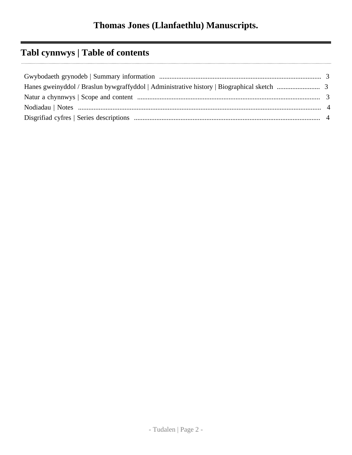# **Tabl cynnwys | Table of contents**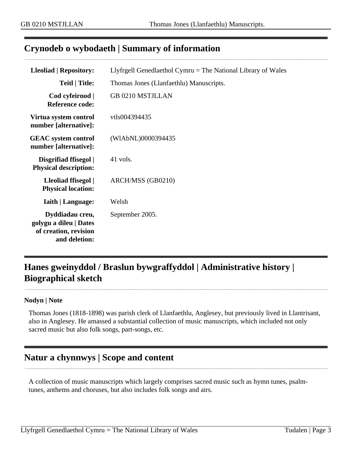## <span id="page-2-0"></span>**Crynodeb o wybodaeth | Summary of information**

| <b>Lleoliad   Repository:</b>                                                       | Llyfrgell Genedlaethol Cymru $=$ The National Library of Wales |
|-------------------------------------------------------------------------------------|----------------------------------------------------------------|
| <b>Teitl</b>   Title:                                                               | Thomas Jones (Llanfaethlu) Manuscripts.                        |
| Cod cyfeirnod  <br><b>Reference code:</b>                                           | <b>GB 0210 MSTJLLAN</b>                                        |
| Virtua system control<br>number [alternative]:                                      | vtls004394435                                                  |
| <b>GEAC</b> system control<br>number [alternative]:                                 | (WIAbNL)0000394435                                             |
| Disgrifiad ffisegol  <br><b>Physical description:</b>                               | 41 vols.                                                       |
| Lleoliad ffisegol  <br><b>Physical location:</b>                                    | ARCH/MSS (GB0210)                                              |
| <b>Iaith   Language:</b>                                                            | Welsh                                                          |
| Dyddiadau creu,<br>golygu a dileu   Dates<br>of creation, revision<br>and deletion: | September 2005.                                                |

# <span id="page-2-1"></span>**Hanes gweinyddol / Braslun bywgraffyddol | Administrative history | Biographical sketch**

#### **Nodyn | Note**

Thomas Jones (1818-1898) was parish clerk of Llanfaethlu, Anglesey, but previously lived in Llantrisant, also in Anglesey. He amassed a substantial collection of music manuscripts, which included not only sacred music but also folk songs, part-songs, etc.

## <span id="page-2-2"></span>**Natur a chynnwys | Scope and content**

A collection of music manuscripts which largely comprises sacred music such as hymn tunes, psalmtunes, anthems and choruses, but also includes folk songs and airs.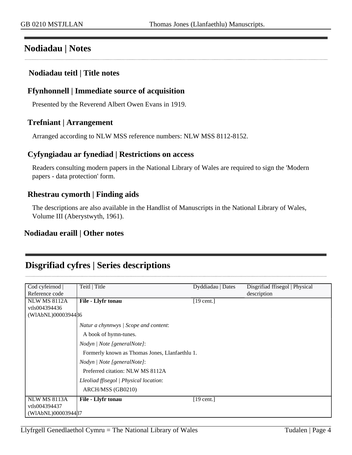## <span id="page-3-0"></span>**Nodiadau | Notes**

#### **Nodiadau teitl | Title notes**

#### **Ffynhonnell | Immediate source of acquisition**

Presented by the Reverend Albert Owen Evans in 1919.

#### **Trefniant | Arrangement**

Arranged according to NLW MSS reference numbers: NLW MSS 8112-8152.

#### **Cyfyngiadau ar fynediad | Restrictions on access**

Readers consulting modern papers in the National Library of Wales are required to sign the 'Modern papers - data protection' form.

#### **Rhestrau cymorth | Finding aids**

The descriptions are also available in the Handlist of Manuscripts in the National Library of Wales, Volume III (Aberystwyth, 1961).

### **Nodiadau eraill | Other notes**

## <span id="page-3-1"></span>**Disgrifiad cyfres | Series descriptions**

| Cod cyfeirnod       | Teitl   Title                                  | Dyddiadau   Dates    | Disgrifiad ffisegol   Physical |
|---------------------|------------------------------------------------|----------------------|--------------------------------|
| Reference code      |                                                |                      | description                    |
| <b>NLW MS 8112A</b> | File - Llyfr tonau                             | $[19 \text{ cent.}]$ |                                |
| vtls004394436       |                                                |                      |                                |
| (WIAbNL)0000394486  |                                                |                      |                                |
|                     | Natur a chynnwys / Scope and content:          |                      |                                |
|                     | A book of hymn-tunes.                          |                      |                                |
|                     | Nodyn / Note [generalNote]:                    |                      |                                |
|                     | Formerly known as Thomas Jones, Llanfaethlu 1. |                      |                                |
|                     | Nodyn   Note [generalNote]:                    |                      |                                |
|                     | Preferred citation: NLW MS 8112A               |                      |                                |
|                     | Lleoliad ffisegol   Physical location:         |                      |                                |
|                     | ARCH/MSS (GB0210)                              |                      |                                |
| <b>NLW MS 8113A</b> | File - Llyfr tonau                             | $[19 \text{ cent.}]$ |                                |
| vtls004394437       |                                                |                      |                                |
| (WIAbNL)0000394487  |                                                |                      |                                |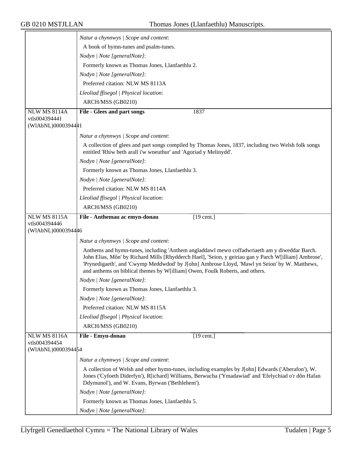|                     | Natur a chynnwys / Scope and content:                                                                                                                                                                                                                                                                                                                                                  |
|---------------------|----------------------------------------------------------------------------------------------------------------------------------------------------------------------------------------------------------------------------------------------------------------------------------------------------------------------------------------------------------------------------------------|
|                     | A book of hymn-tunes and psalm-tunes.                                                                                                                                                                                                                                                                                                                                                  |
|                     | Nodyn   Note [generalNote]:                                                                                                                                                                                                                                                                                                                                                            |
|                     | Formerly known as Thomas Jones, Llanfaethlu 2.                                                                                                                                                                                                                                                                                                                                         |
|                     | Nodyn   Note [generalNote]:                                                                                                                                                                                                                                                                                                                                                            |
|                     | Preferred citation: NLW MS 8113A                                                                                                                                                                                                                                                                                                                                                       |
|                     | Lleoliad ffisegol   Physical location:                                                                                                                                                                                                                                                                                                                                                 |
|                     | ARCH/MSS (GB0210)                                                                                                                                                                                                                                                                                                                                                                      |
| <b>NLW MS 8114A</b> | File - Glees and part songs<br>1837                                                                                                                                                                                                                                                                                                                                                    |
| vtls004394441       |                                                                                                                                                                                                                                                                                                                                                                                        |
| (WIAbNL)0000394441  |                                                                                                                                                                                                                                                                                                                                                                                        |
|                     | Natur a chynnwys / Scope and content:                                                                                                                                                                                                                                                                                                                                                  |
|                     | A collection of glees and part songs compiled by Thomas Jones, 1837, including two Welsh folk songs<br>entitled 'Rhiw beth arall i'w wneuthur' and 'Agoriad y Melinydd'.                                                                                                                                                                                                               |
|                     | Nodyn   Note [generalNote]:                                                                                                                                                                                                                                                                                                                                                            |
|                     | Formerly known as Thomas Jones, Llanfaethlu 3.                                                                                                                                                                                                                                                                                                                                         |
|                     | Nodyn   Note [generalNote]:                                                                                                                                                                                                                                                                                                                                                            |
|                     | Preferred citation: NLW MS 8114A                                                                                                                                                                                                                                                                                                                                                       |
|                     | Lleoliad ffisegol   Physical location:                                                                                                                                                                                                                                                                                                                                                 |
|                     | ARCH/MSS (GB0210)                                                                                                                                                                                                                                                                                                                                                                      |
| <b>NLW MS 8115A</b> | File - Anthemau ac emyn-donau<br>$[19 \text{ cent.}]$                                                                                                                                                                                                                                                                                                                                  |
| vtls004394446       |                                                                                                                                                                                                                                                                                                                                                                                        |
| (WIAbNL)0000394446  |                                                                                                                                                                                                                                                                                                                                                                                        |
|                     | Natur a chynnwys / Scope and content:                                                                                                                                                                                                                                                                                                                                                  |
|                     | Anthems and hymn-tunes, including 'Anthem angladdawl mewn coffadwriaeth am y diweddar Barch.<br>John Elias, Môn' by Richard Mills [Rhydderch Hael], 'Seion, y geiriau gan y Parch W[illiam] Ambrose',<br>'Prynedigaeth', and 'Cwymp Meddwdod' by J[ohn] Ambrose Lloyd, 'Mawl yn Seion' by W. Matthews,<br>and anthems on biblical themes by W[illiam] Owen, Foulk Roberts, and others. |
|                     | Nodyn   Note [generalNote]:                                                                                                                                                                                                                                                                                                                                                            |
|                     | Formerly known as Thomas Jones, Llanfaethlu 3.                                                                                                                                                                                                                                                                                                                                         |
|                     | Nodyn   Note [generalNote]:                                                                                                                                                                                                                                                                                                                                                            |
|                     | Preferred citation: NLW MS 8115A                                                                                                                                                                                                                                                                                                                                                       |
|                     | Lleoliad ffisegol   Physical location:                                                                                                                                                                                                                                                                                                                                                 |
|                     | ARCH/MSS (GB0210)                                                                                                                                                                                                                                                                                                                                                                      |
| <b>NLW MS 8116A</b> | File - Emyn-donau<br>$[19$ cent.]                                                                                                                                                                                                                                                                                                                                                      |
| vtls004394454       |                                                                                                                                                                                                                                                                                                                                                                                        |
| (WIAbNL)0000394454  |                                                                                                                                                                                                                                                                                                                                                                                        |
|                     | Natur a chynnwys / Scope and content:                                                                                                                                                                                                                                                                                                                                                  |
|                     | A collection of Welsh and other hymn-tunes, including examples by J[ohn] Edwards ('Aberafon'), W.<br>Jones ('Cyfoeth Diderfyn'), R[ichard] Williams, Berwucha ('Ymadawiad' and 'Efelychiad o'r dôn Hafan<br>Ddymunol'), and W. Evans, Byrwan ('Bethlehem').                                                                                                                            |
|                     | Nodyn   Note [generalNote]:                                                                                                                                                                                                                                                                                                                                                            |
|                     | Formerly known as Thomas Jones, Llanfaethlu 5.                                                                                                                                                                                                                                                                                                                                         |
|                     | Nodyn   Note [generalNote]:                                                                                                                                                                                                                                                                                                                                                            |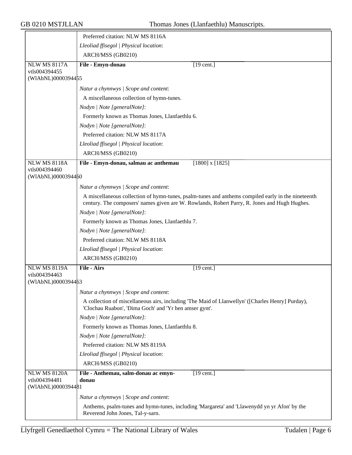|                                      | Preferred citation: NLW MS 8116A                       |                                                                                                                                                                                                    |
|--------------------------------------|--------------------------------------------------------|----------------------------------------------------------------------------------------------------------------------------------------------------------------------------------------------------|
|                                      | Lleoliad ffisegol   Physical location:                 |                                                                                                                                                                                                    |
|                                      | ARCH/MSS (GB0210)                                      |                                                                                                                                                                                                    |
| <b>NLW MS 8117A</b>                  | File - Emyn-donau                                      | $\overline{19}$ cent.]                                                                                                                                                                             |
| vtls004394455                        |                                                        |                                                                                                                                                                                                    |
| (WIAbNL)0000394455                   |                                                        |                                                                                                                                                                                                    |
|                                      | Natur a chynnwys / Scope and content:                  |                                                                                                                                                                                                    |
|                                      | A miscellaneous collection of hymn-tunes.              |                                                                                                                                                                                                    |
|                                      | Nodyn   Note [generalNote]:                            |                                                                                                                                                                                                    |
|                                      | Formerly known as Thomas Jones, Llanfaethlu 6.         |                                                                                                                                                                                                    |
|                                      | Nodyn   Note [generalNote]:                            |                                                                                                                                                                                                    |
|                                      | Preferred citation: NLW MS 8117A                       |                                                                                                                                                                                                    |
|                                      | Lleoliad ffisegol   Physical location:                 |                                                                                                                                                                                                    |
|                                      | ARCH/MSS (GB0210)                                      |                                                                                                                                                                                                    |
| <b>NLW MS 8118A</b>                  | File - Emyn-donau, salmau ac anthemau                  | $[1800]$ x $[1825]$                                                                                                                                                                                |
| vtls004394460<br>(WIAbNL)0000394460  |                                                        |                                                                                                                                                                                                    |
|                                      | Natur a chynnwys / Scope and content:                  |                                                                                                                                                                                                    |
|                                      |                                                        | A miscellaneous collection of hymn-tunes, psalm-tunes and anthems compiled early in the nineteenth<br>century. The composers' names given are W. Rowlands, Robert Parry, R. Jones and Hugh Hughes. |
|                                      | Nodyn   Note [generalNote]:                            |                                                                                                                                                                                                    |
|                                      | Formerly known as Thomas Jones, Llanfaethlu 7.         |                                                                                                                                                                                                    |
|                                      | Nodyn   Note [generalNote]:                            |                                                                                                                                                                                                    |
|                                      | Preferred citation: NLW MS 8118A                       |                                                                                                                                                                                                    |
|                                      | Lleoliad ffisegol   Physical location:                 |                                                                                                                                                                                                    |
|                                      | ARCH/MSS (GB0210)                                      |                                                                                                                                                                                                    |
| <b>NLW MS 8119A</b>                  | File - Airs                                            | $[19 \text{ cent.}]$                                                                                                                                                                               |
| vtls004394463                        |                                                        |                                                                                                                                                                                                    |
| (WIAbNL)0000394463                   |                                                        |                                                                                                                                                                                                    |
|                                      | Natur a chynnwys / Scope and content:                  |                                                                                                                                                                                                    |
|                                      | 'Clochau Ruabon', 'Dima Goch' and 'Yr hen amser gynt'. | A collection of miscellaneous airs, including 'The Maid of Llanwellyn' ([Charles Henry] Purday),                                                                                                   |
|                                      | Nodyn   Note [generalNote]:                            |                                                                                                                                                                                                    |
|                                      | Formerly known as Thomas Jones, Llanfaethlu 8.         |                                                                                                                                                                                                    |
|                                      | Nodyn   Note [generalNote]:                            |                                                                                                                                                                                                    |
|                                      | Preferred citation: NLW MS 8119A                       |                                                                                                                                                                                                    |
|                                      | Lleoliad ffisegol   Physical location:                 |                                                                                                                                                                                                    |
|                                      | ARCH/MSS (GB0210)                                      |                                                                                                                                                                                                    |
| <b>NLW MS 8120A</b><br>vtls004394481 | File - Anthemau, salm-donau ac emyn-<br>donau          | $[19$ cent.]                                                                                                                                                                                       |
| (WIAbNL)0000394481                   |                                                        |                                                                                                                                                                                                    |
|                                      | Natur a chynnwys / Scope and content:                  |                                                                                                                                                                                                    |
|                                      | Reverend John Jones, Tal-y-sarn.                       | Anthems, psalm-tunes and hymn-tunes, including 'Margareta' and 'Llawenydd yn yr Afon' by the                                                                                                       |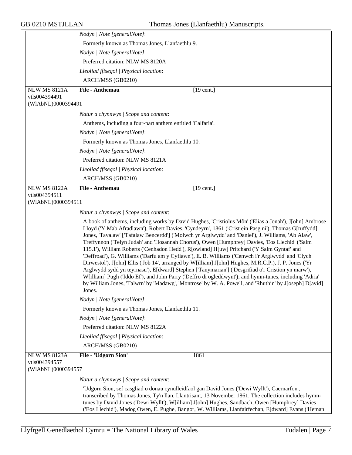|                     | Nodyn   Note [generalNote]:                                                                                                                                                                                                                                                                                                                                                                                                                                                                                                                                                                                                                                                                                                                                                                                                                                                                                                                                                                                                                                         |
|---------------------|---------------------------------------------------------------------------------------------------------------------------------------------------------------------------------------------------------------------------------------------------------------------------------------------------------------------------------------------------------------------------------------------------------------------------------------------------------------------------------------------------------------------------------------------------------------------------------------------------------------------------------------------------------------------------------------------------------------------------------------------------------------------------------------------------------------------------------------------------------------------------------------------------------------------------------------------------------------------------------------------------------------------------------------------------------------------|
|                     | Formerly known as Thomas Jones, Llanfaethlu 9.                                                                                                                                                                                                                                                                                                                                                                                                                                                                                                                                                                                                                                                                                                                                                                                                                                                                                                                                                                                                                      |
|                     | Nodyn   Note [generalNote]:                                                                                                                                                                                                                                                                                                                                                                                                                                                                                                                                                                                                                                                                                                                                                                                                                                                                                                                                                                                                                                         |
|                     | Preferred citation: NLW MS 8120A                                                                                                                                                                                                                                                                                                                                                                                                                                                                                                                                                                                                                                                                                                                                                                                                                                                                                                                                                                                                                                    |
|                     | Lleoliad ffisegol   Physical location:                                                                                                                                                                                                                                                                                                                                                                                                                                                                                                                                                                                                                                                                                                                                                                                                                                                                                                                                                                                                                              |
|                     | ARCH/MSS (GB0210)                                                                                                                                                                                                                                                                                                                                                                                                                                                                                                                                                                                                                                                                                                                                                                                                                                                                                                                                                                                                                                                   |
| <b>NLW MS 8121A</b> | File - Anthemau<br>$[19$ cent.]                                                                                                                                                                                                                                                                                                                                                                                                                                                                                                                                                                                                                                                                                                                                                                                                                                                                                                                                                                                                                                     |
| vtls004394491       |                                                                                                                                                                                                                                                                                                                                                                                                                                                                                                                                                                                                                                                                                                                                                                                                                                                                                                                                                                                                                                                                     |
| (WIAbNL)0000394491  |                                                                                                                                                                                                                                                                                                                                                                                                                                                                                                                                                                                                                                                                                                                                                                                                                                                                                                                                                                                                                                                                     |
|                     | Natur a chynnwys / Scope and content:                                                                                                                                                                                                                                                                                                                                                                                                                                                                                                                                                                                                                                                                                                                                                                                                                                                                                                                                                                                                                               |
|                     | Anthems, including a four-part anthem entitled 'Calfaria'.                                                                                                                                                                                                                                                                                                                                                                                                                                                                                                                                                                                                                                                                                                                                                                                                                                                                                                                                                                                                          |
|                     | Nodyn   Note [generalNote]:                                                                                                                                                                                                                                                                                                                                                                                                                                                                                                                                                                                                                                                                                                                                                                                                                                                                                                                                                                                                                                         |
|                     | Formerly known as Thomas Jones, Llanfaethlu 10.                                                                                                                                                                                                                                                                                                                                                                                                                                                                                                                                                                                                                                                                                                                                                                                                                                                                                                                                                                                                                     |
|                     | Nodyn   Note [generalNote]:                                                                                                                                                                                                                                                                                                                                                                                                                                                                                                                                                                                                                                                                                                                                                                                                                                                                                                                                                                                                                                         |
|                     | Preferred citation: NLW MS 8121A                                                                                                                                                                                                                                                                                                                                                                                                                                                                                                                                                                                                                                                                                                                                                                                                                                                                                                                                                                                                                                    |
|                     | Lleoliad ffisegol   Physical location:                                                                                                                                                                                                                                                                                                                                                                                                                                                                                                                                                                                                                                                                                                                                                                                                                                                                                                                                                                                                                              |
|                     | ARCH/MSS (GB0210)                                                                                                                                                                                                                                                                                                                                                                                                                                                                                                                                                                                                                                                                                                                                                                                                                                                                                                                                                                                                                                                   |
| <b>NLW MS 8122A</b> | File - Anthemau<br>$\overline{19}$ cent.]                                                                                                                                                                                                                                                                                                                                                                                                                                                                                                                                                                                                                                                                                                                                                                                                                                                                                                                                                                                                                           |
| vtls004394511       |                                                                                                                                                                                                                                                                                                                                                                                                                                                                                                                                                                                                                                                                                                                                                                                                                                                                                                                                                                                                                                                                     |
| (WIAbNL)00003945 1  |                                                                                                                                                                                                                                                                                                                                                                                                                                                                                                                                                                                                                                                                                                                                                                                                                                                                                                                                                                                                                                                                     |
|                     | Natur a chynnwys / Scope and content:                                                                                                                                                                                                                                                                                                                                                                                                                                                                                                                                                                                                                                                                                                                                                                                                                                                                                                                                                                                                                               |
|                     | A book of anthems, including works by David Hughes, 'Cristiolus Môn' ('Elias a Jonah'), J[ohn] Ambrose<br>Lloyd ('Y Mab Afradlawn'), Robert Davies, 'Cyndeyrn', 1861 ('Crist ein Pasg ni'), Thomas G[ruffydd]<br>Jones, 'Tavalaw' ['Tafalaw Bencerdd'] ('Molwch yr Arglwydd' and 'Daniel'), J. Williams, 'Ab Alaw',<br>Treffynnon ('Telyn Judah' and 'Hosannah Chorus'), Owen [Humphrey] Davies, 'Eos Llechid' ('Salm<br>115.1'), William Roberts ('Cenhadon Hedd'), R[owland] H[uw] Pritchard ('Y Salm Gyntaf' and<br>'Deffroad'), G. Williams ('Darfu am y Cyfiawn'), E. B. Williams ('Cenwch i'r Arglwydd' and 'Clych<br>Dirwestol'), J[ohn] Ellis ('Job 14', arranged by W[illiam] J[ohn] Hughes, M.R.C.P.), J. P. Jones ('Yr<br>Arglwydd sydd yn teyrnasu'), E[dward] Stephen ['Tanymarian'] ('Desgrifiad o'r Cristion yn marw'),<br>W[illiam] Pugh ('Iddo Ef'), and John Parry ('Deffro di ogleddwynt'); and hymn-tunes, including 'Adria'<br>by William Jones, 'Talwrn' by 'Madawg', 'Montrose' by W. A. Powell, and 'Rhuthin' by J[oseph] D[avid]<br>Jones. |
|                     | Nodyn   Note [generalNote]:                                                                                                                                                                                                                                                                                                                                                                                                                                                                                                                                                                                                                                                                                                                                                                                                                                                                                                                                                                                                                                         |
|                     | Formerly known as Thomas Jones, Llanfaethlu 11.                                                                                                                                                                                                                                                                                                                                                                                                                                                                                                                                                                                                                                                                                                                                                                                                                                                                                                                                                                                                                     |
|                     | Nodyn   Note [generalNote]:                                                                                                                                                                                                                                                                                                                                                                                                                                                                                                                                                                                                                                                                                                                                                                                                                                                                                                                                                                                                                                         |
|                     | Preferred citation: NLW MS 8122A                                                                                                                                                                                                                                                                                                                                                                                                                                                                                                                                                                                                                                                                                                                                                                                                                                                                                                                                                                                                                                    |
|                     | Lleoliad ffisegol   Physical location:                                                                                                                                                                                                                                                                                                                                                                                                                                                                                                                                                                                                                                                                                                                                                                                                                                                                                                                                                                                                                              |
|                     | ARCH/MSS (GB0210)                                                                                                                                                                                                                                                                                                                                                                                                                                                                                                                                                                                                                                                                                                                                                                                                                                                                                                                                                                                                                                                   |
| <b>NLW MS 8123A</b> | File - 'Udgorn Sion'<br>1861                                                                                                                                                                                                                                                                                                                                                                                                                                                                                                                                                                                                                                                                                                                                                                                                                                                                                                                                                                                                                                        |
| vtls004394557       |                                                                                                                                                                                                                                                                                                                                                                                                                                                                                                                                                                                                                                                                                                                                                                                                                                                                                                                                                                                                                                                                     |
| (WIAbNL)0000394557  |                                                                                                                                                                                                                                                                                                                                                                                                                                                                                                                                                                                                                                                                                                                                                                                                                                                                                                                                                                                                                                                                     |
|                     | Natur a chynnwys / Scope and content:                                                                                                                                                                                                                                                                                                                                                                                                                                                                                                                                                                                                                                                                                                                                                                                                                                                                                                                                                                                                                               |
|                     | 'Udgorn Sion, sef casgliad o donau cynulleidfaol gan David Jones ('Dewi Wyllt'), Caernarfon',<br>transcribed by Thomas Jones, Ty'n llan, Llantrisant, 13 November 1861. The collection includes hymn-<br>tunes by David Jones ('Dewi Wyllt'), W[illiam] J[ohn] Hughes, Sandbach, Owen [Humphrey] Davies<br>('Eos Llechid'), Madog Owen, E. Pughe, Bangor, W. Williams, Llanfairfechan, E[dward] Evans ('Heman                                                                                                                                                                                                                                                                                                                                                                                                                                                                                                                                                                                                                                                       |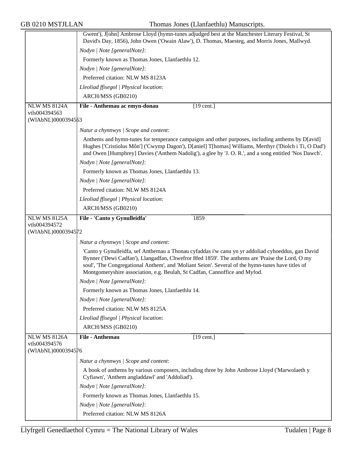|                                     | Gwent'), J[ohn] Ambrose Lloyd (hymn-tunes adjudged best at the Manchester Literary Festival, St<br>David's Day, 1856), John Owen ('Owain Alaw'), D. Thomas, Maesteg, and Morris Jones, Mallwyd.                                                                                                                                                                                         |
|-------------------------------------|-----------------------------------------------------------------------------------------------------------------------------------------------------------------------------------------------------------------------------------------------------------------------------------------------------------------------------------------------------------------------------------------|
|                                     | Nodyn   Note [generalNote]:                                                                                                                                                                                                                                                                                                                                                             |
|                                     | Formerly known as Thomas Jones, Llanfaethlu 12.                                                                                                                                                                                                                                                                                                                                         |
|                                     | Nodyn   Note [generalNote]:                                                                                                                                                                                                                                                                                                                                                             |
|                                     | Preferred citation: NLW MS 8123A                                                                                                                                                                                                                                                                                                                                                        |
|                                     | Lleoliad ffisegol   Physical location:                                                                                                                                                                                                                                                                                                                                                  |
|                                     | ARCH/MSS (GB0210)                                                                                                                                                                                                                                                                                                                                                                       |
| NLW MS 8124A                        | File - Anthemau ac emyn-donau<br>$\overline{19}$ cent.]                                                                                                                                                                                                                                                                                                                                 |
| vtls004394563<br>(WIAbNL)0000394563 |                                                                                                                                                                                                                                                                                                                                                                                         |
|                                     | Natur a chynnwys / Scope and content:                                                                                                                                                                                                                                                                                                                                                   |
|                                     | Anthems and hymn-tunes for temperance campaigns and other purposes, including anthems by D[avid]<br>Hughes ['Cristiolus Môn'] ('Cwymp Dagon'), D[aniel] T[homas] Williams, Merthyr ('Diolch i Ti, O Dad')<br>and Owen [Humphrey] Davies ('Anthem Nadolig'), a glee by 'J. O. R.', and a song entitled 'Nos Dawch'.                                                                      |
|                                     | Nodyn   Note [generalNote]:                                                                                                                                                                                                                                                                                                                                                             |
|                                     | Formerly known as Thomas Jones, Llanfaethlu 13.                                                                                                                                                                                                                                                                                                                                         |
|                                     | Nodyn   Note [generalNote]:                                                                                                                                                                                                                                                                                                                                                             |
|                                     | Preferred citation: NLW MS 8124A                                                                                                                                                                                                                                                                                                                                                        |
|                                     | Lleoliad ffisegol   Physical location:                                                                                                                                                                                                                                                                                                                                                  |
|                                     | ARCH/MSS (GB0210)                                                                                                                                                                                                                                                                                                                                                                       |
| <b>NLW MS 8125A</b>                 | File - 'Canto y Gynulleidfa'<br>1859                                                                                                                                                                                                                                                                                                                                                    |
| vtls004394572<br>(WIAbNL)0000394572 |                                                                                                                                                                                                                                                                                                                                                                                         |
|                                     |                                                                                                                                                                                                                                                                                                                                                                                         |
|                                     | Natur a chynnwys / Scope and content:                                                                                                                                                                                                                                                                                                                                                   |
|                                     | 'Canto y Gynulleidfa, sef Anthemau a Thonau cyfaddas i'w canu yn yr addoliad cyhoeddus, gan David<br>Bynner ('Dewi Cadfan'), Llangadfan, Chwefror 8fed 1859'. The anthems are 'Praise the Lord, O my<br>soul', 'The Congregational Anthem', and 'Moliant Seion'. Several of the hymn-tunes have titles of<br>Montgomeryshire association, e.g. Beulah, St Cadfan, Cannoffice and Myfod. |
|                                     | Nodyn   Note [generalNote]:                                                                                                                                                                                                                                                                                                                                                             |
|                                     | Formerly known as Thomas Jones, Llanfaethlu 14.                                                                                                                                                                                                                                                                                                                                         |
|                                     | Nodyn   Note [generalNote]:                                                                                                                                                                                                                                                                                                                                                             |
|                                     | Preferred citation: NLW MS 8125A                                                                                                                                                                                                                                                                                                                                                        |
|                                     | Lleoliad ffisegol   Physical location:                                                                                                                                                                                                                                                                                                                                                  |
|                                     | ARCH/MSS (GB0210)                                                                                                                                                                                                                                                                                                                                                                       |
| <b>NLW MS 8126A</b>                 | File - Anthemau<br>$[19$ cent.]                                                                                                                                                                                                                                                                                                                                                         |
| vtls004394576                       |                                                                                                                                                                                                                                                                                                                                                                                         |
| (WIAbNL)0000394576                  |                                                                                                                                                                                                                                                                                                                                                                                         |
|                                     |                                                                                                                                                                                                                                                                                                                                                                                         |
|                                     | Natur a chynnwys / Scope and content:                                                                                                                                                                                                                                                                                                                                                   |
|                                     | A book of anthems by various composers, including three by John Ambrose Lloyd ('Marwolaeth y<br>Cyfiawn', 'Anthem angladdawl' and 'Addoliad').                                                                                                                                                                                                                                          |
|                                     | Nodyn   Note [generalNote]:                                                                                                                                                                                                                                                                                                                                                             |
|                                     | Formerly known as Thomas Jones, Llanfaethlu 15.                                                                                                                                                                                                                                                                                                                                         |
|                                     | Nodyn   Note [generalNote]:                                                                                                                                                                                                                                                                                                                                                             |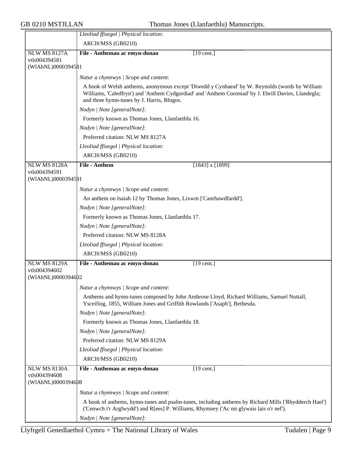|                     | Lleoliad ffisegol   Physical location:                                                                                                                                                                                                               |
|---------------------|------------------------------------------------------------------------------------------------------------------------------------------------------------------------------------------------------------------------------------------------------|
|                     | ARCH/MSS (GB0210)                                                                                                                                                                                                                                    |
| <b>NLW MS 8127A</b> | File - Anthemau ac emyn-donau<br>$[19$ cent.]                                                                                                                                                                                                        |
| vtls004394581       |                                                                                                                                                                                                                                                      |
| (WIAbNL)0000394581  |                                                                                                                                                                                                                                                      |
|                     | Natur a chynnwys / Scope and content:                                                                                                                                                                                                                |
|                     | A book of Welsh anthems, anonymous except 'Diwedd y Cynhaeaf' by W. Reynolds (words by William<br>Williams, 'Caledfryn') and 'Anthem Cydgordiad' and 'Anthem Coroniad' by J. Ebrill Davies, Llandegla;<br>and three hymn-tunes by J. Harris, Rhigos. |
|                     | Nodyn   Note [generalNote]:                                                                                                                                                                                                                          |
|                     | Formerly known as Thomas Jones, Llanfaethlu 16.                                                                                                                                                                                                      |
|                     | Nodyn   Note [generalNote]:                                                                                                                                                                                                                          |
|                     | Preferred citation: NLW MS 8127A                                                                                                                                                                                                                     |
|                     | Lleoliad ffisegol   Physical location:                                                                                                                                                                                                               |
|                     | ARCH/MSS (GB0210)                                                                                                                                                                                                                                    |
| <b>NLW MS 8128A</b> | <b>File - Anthem</b><br>$[1843]$ x $[1899]$                                                                                                                                                                                                          |
| vtls004394591       |                                                                                                                                                                                                                                                      |
| (WIAbNL)0000394591  |                                                                                                                                                                                                                                                      |
|                     | Natur a chynnwys / Scope and content:                                                                                                                                                                                                                |
|                     | An anthem on Isaiah 12 by Thomas Jones, Lixwm ['Canrhawdfardd'].                                                                                                                                                                                     |
|                     | Nodyn   Note [generalNote]:                                                                                                                                                                                                                          |
|                     | Formerly known as Thomas Jones, Llanfaethlu 17.                                                                                                                                                                                                      |
|                     | Nodyn   Note [generalNote]:                                                                                                                                                                                                                          |
|                     | Preferred citation: NLW MS 8128A                                                                                                                                                                                                                     |
|                     | Lleoliad ffisegol   Physical location:                                                                                                                                                                                                               |
|                     | ARCH/MSS (GB0210)                                                                                                                                                                                                                                    |
| <b>NLW MS 8129A</b> | File - Anthemau ac emyn-donau<br>$[19$ cent.]                                                                                                                                                                                                        |
| vtls004394602       |                                                                                                                                                                                                                                                      |
| (WIAbNL)0000394602  |                                                                                                                                                                                                                                                      |
|                     | Natur a chynnwys / Scope and content:                                                                                                                                                                                                                |
|                     | Anthems and hymn-tunes composed by John Ambrose Lloyd, Richard Williams, Samuel Nuttall,<br>Ysceifiog, 1855, William Jones and Griffith Rowlands ['Asaph'], Bethesda.                                                                                |
|                     | Nodyn   Note [generalNote]:                                                                                                                                                                                                                          |
|                     | Formerly known as Thomas Jones, Llanfaethlu 18.                                                                                                                                                                                                      |
|                     | Nodyn   Note [generalNote]:                                                                                                                                                                                                                          |
|                     | Preferred citation: NLW MS 8129A                                                                                                                                                                                                                     |
|                     | Lleoliad ffisegol   Physical location:                                                                                                                                                                                                               |
|                     | ARCH/MSS (GB0210)                                                                                                                                                                                                                                    |
| <b>NLW MS 8130A</b> | $[19$ cent.]<br>File - Anthemau ac emyn-donau                                                                                                                                                                                                        |
| vtls004394608       |                                                                                                                                                                                                                                                      |
| (WIAbNL)0000394608  |                                                                                                                                                                                                                                                      |
|                     | Natur a chynnwys / Scope and content:                                                                                                                                                                                                                |
|                     | A book of anthems, hymn-tunes and psalm-tunes, including anthems by Richard Mills ['Rhydderch Hael']<br>('Cenwch i'r Arglwydd') and R[ees] P. Williams, Rhymney ('Ac mi glywais lais o'r nef').                                                      |
|                     | Nodyn   Note [generalNote]:                                                                                                                                                                                                                          |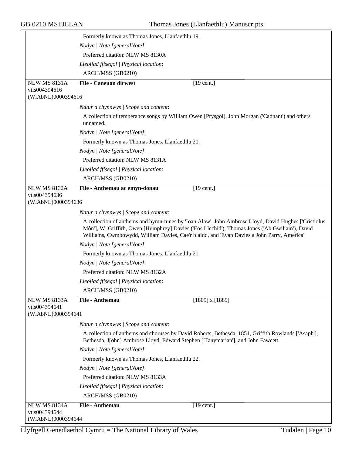|                                     | Formerly known as Thomas Jones, Llanfaethlu 19.                                                                                                                                                                                                                                                       |
|-------------------------------------|-------------------------------------------------------------------------------------------------------------------------------------------------------------------------------------------------------------------------------------------------------------------------------------------------------|
|                                     | Nodyn   Note [generalNote]:                                                                                                                                                                                                                                                                           |
|                                     | Preferred citation: NLW MS 8130A                                                                                                                                                                                                                                                                      |
|                                     | Lleoliad ffisegol   Physical location:                                                                                                                                                                                                                                                                |
|                                     | ARCH/MSS (GB0210)                                                                                                                                                                                                                                                                                     |
| <b>NLW MS 8131A</b>                 | <b>File - Caneuon dirwest</b><br>$[19 \text{ cent.}]$                                                                                                                                                                                                                                                 |
| vtls004394616                       |                                                                                                                                                                                                                                                                                                       |
| (WIAbNL)0000394616                  |                                                                                                                                                                                                                                                                                                       |
|                                     | Natur a chynnwys / Scope and content:                                                                                                                                                                                                                                                                 |
|                                     | A collection of temperance songs by William Owen [Prysgol], John Morgan ('Cadnant') and others<br>unnamed.                                                                                                                                                                                            |
|                                     | Nodyn   Note [generalNote]:                                                                                                                                                                                                                                                                           |
|                                     | Formerly known as Thomas Jones, Llanfaethlu 20.                                                                                                                                                                                                                                                       |
|                                     | Nodyn   Note [generalNote]:                                                                                                                                                                                                                                                                           |
|                                     | Preferred citation: NLW MS 8131A                                                                                                                                                                                                                                                                      |
|                                     | Lleoliad ffisegol   Physical location:                                                                                                                                                                                                                                                                |
|                                     | ARCH/MSS (GB0210)                                                                                                                                                                                                                                                                                     |
| <b>NLW MS 8132A</b>                 | File - Anthemau ac emyn-donau<br>$[19 \text{ cent.}]$                                                                                                                                                                                                                                                 |
| vtls004394636                       |                                                                                                                                                                                                                                                                                                       |
| (WIAbNL)0000394686                  |                                                                                                                                                                                                                                                                                                       |
|                                     | Natur a chynnwys / Scope and content:                                                                                                                                                                                                                                                                 |
|                                     | A collection of anthems and hymn-tunes by 'Ioan Alaw', John Ambrose Lloyd, David Hughes ['Cristiolus<br>Môn'], W. Griffith, Owen [Humphrey] Davies ('Eos Llechid'), Thomas Jones ('Ab Gwiliam'), David<br>Williams, Cwmbowydd, William Davies, Cae'r blaidd, and 'Evan Davies a John Parry, America'. |
|                                     | Nodyn   Note [generalNote]:                                                                                                                                                                                                                                                                           |
|                                     | Formerly known as Thomas Jones, Llanfaethlu 21.                                                                                                                                                                                                                                                       |
|                                     | Nodyn   Note [generalNote]:                                                                                                                                                                                                                                                                           |
|                                     | Preferred citation: NLW MS 8132A                                                                                                                                                                                                                                                                      |
|                                     | Lleoliad ffisegol   Physical location:                                                                                                                                                                                                                                                                |
|                                     | ARCH/MSS (GB0210)                                                                                                                                                                                                                                                                                     |
| <b>NLW MS 8133A</b>                 | File - Anthemau<br>$[1809]$ x $[1889]$                                                                                                                                                                                                                                                                |
| vtls004394641<br>(WIAbNL)0000394641 |                                                                                                                                                                                                                                                                                                       |
|                                     | Natur a chynnwys / Scope and content:                                                                                                                                                                                                                                                                 |
|                                     | A collection of anthems and choruses by David Roberts, Bethesda, 1851, Griffith Rowlands ['Asaph'],<br>Bethesda, J[ohn] Ambrose Lloyd, Edward Stephen ['Tanymarian'], and John Fawcett.                                                                                                               |
|                                     | Nodyn   Note [generalNote]:                                                                                                                                                                                                                                                                           |
|                                     | Formerly known as Thomas Jones, Llanfaethlu 22.                                                                                                                                                                                                                                                       |
|                                     | Nodyn   Note [generalNote]:                                                                                                                                                                                                                                                                           |
|                                     | Preferred citation: NLW MS 8133A                                                                                                                                                                                                                                                                      |
|                                     | Lleoliad ffisegol   Physical location:                                                                                                                                                                                                                                                                |
|                                     | ARCH/MSS (GB0210)                                                                                                                                                                                                                                                                                     |
| <b>NLW MS 8134A</b>                 | <b>File - Anthemau</b><br>$[19 \text{ cent.}]$                                                                                                                                                                                                                                                        |
| vtls004394644<br>(WIAbNL)00003946#4 |                                                                                                                                                                                                                                                                                                       |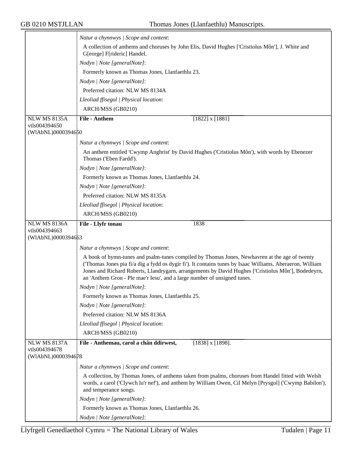|                     | Natur a chynnwys / Scope and content:                                                                                                                                                                                                                                                                                                                                                         |
|---------------------|-----------------------------------------------------------------------------------------------------------------------------------------------------------------------------------------------------------------------------------------------------------------------------------------------------------------------------------------------------------------------------------------------|
|                     | A collection of anthems and choruses by John Elis, David Hughes ['Cristiolus Môn'], J. White and<br>G[eorge] F[rideric] Handel.                                                                                                                                                                                                                                                               |
|                     | Nodyn   Note [generalNote]:                                                                                                                                                                                                                                                                                                                                                                   |
|                     | Formerly known as Thomas Jones, Llanfaethlu 23.                                                                                                                                                                                                                                                                                                                                               |
|                     | Nodyn   Note [generalNote]:                                                                                                                                                                                                                                                                                                                                                                   |
|                     | Preferred citation: NLW MS 8134A                                                                                                                                                                                                                                                                                                                                                              |
|                     | Lleoliad ffisegol   Physical location:                                                                                                                                                                                                                                                                                                                                                        |
|                     | ARCH/MSS (GB0210)                                                                                                                                                                                                                                                                                                                                                                             |
| <b>NLW MS 8135A</b> | <b>File - Anthem</b><br>$[1822]$ x [1881]                                                                                                                                                                                                                                                                                                                                                     |
| vtls004394650       |                                                                                                                                                                                                                                                                                                                                                                                               |
| (WIAbNL)0000394650  |                                                                                                                                                                                                                                                                                                                                                                                               |
|                     | Natur a chynnwys   Scope and content:                                                                                                                                                                                                                                                                                                                                                         |
|                     | An anthem entitled 'Cwymp Anghrist' by David Hughes ('Cristiolus Môn'), with words by Ebenezer<br>Thomas ('Eben Fardd').                                                                                                                                                                                                                                                                      |
|                     | Nodyn   Note [generalNote]:                                                                                                                                                                                                                                                                                                                                                                   |
|                     | Formerly known as Thomas Jones, Llanfaethlu 24.                                                                                                                                                                                                                                                                                                                                               |
|                     | Nodyn   Note [generalNote]:                                                                                                                                                                                                                                                                                                                                                                   |
|                     | Preferred citation: NLW MS 8135A                                                                                                                                                                                                                                                                                                                                                              |
|                     | Lleoliad ffisegol   Physical location:                                                                                                                                                                                                                                                                                                                                                        |
|                     | ARCH/MSS (GB0210)                                                                                                                                                                                                                                                                                                                                                                             |
| <b>NLW MS 8136A</b> | File - Llyfr tonau<br>1838                                                                                                                                                                                                                                                                                                                                                                    |
| vtls004394663       |                                                                                                                                                                                                                                                                                                                                                                                               |
| (WIAbNL)0000394663  |                                                                                                                                                                                                                                                                                                                                                                                               |
|                     | Natur a chynnwys / Scope and content:                                                                                                                                                                                                                                                                                                                                                         |
|                     | A book of hymn-tunes and psalm-tunes compiled by Thomas Jones, Newhavren at the age of twenty<br>('Thomas Jones pia fi/a dig a fydd os dygir fi'). It contains tunes by Isaac Williams, Aberaeron, William<br>Jones and Richard Roberts, Llandrygarn, arrangements by David Hughes ['Cristiolus Môn'], Bodedeyrn,<br>an 'Anthem Gron - Ple mae'r Iesu', and a large number of unsigned tunes. |
|                     | Nodyn   Note [generalNote]:                                                                                                                                                                                                                                                                                                                                                                   |
|                     | Formerly known as Thomas Jones, Llanfaethlu 25.                                                                                                                                                                                                                                                                                                                                               |
|                     | Nodyn   Note [generalNote]:                                                                                                                                                                                                                                                                                                                                                                   |
|                     | Preferred citation: NLW MS 8136A                                                                                                                                                                                                                                                                                                                                                              |
|                     | Lleoliad ffisegol   Physical location:                                                                                                                                                                                                                                                                                                                                                        |
|                     | ARCH/MSS (GB0210)                                                                                                                                                                                                                                                                                                                                                                             |
| <b>NLW MS 8137A</b> | File - Anthemau, carol a chân ddirwest,<br>$[1838]$ x $[1898]$ .                                                                                                                                                                                                                                                                                                                              |
| vtls004394678       |                                                                                                                                                                                                                                                                                                                                                                                               |
| (WIAbNL)0000394678  |                                                                                                                                                                                                                                                                                                                                                                                               |
|                     | Natur a chynnwys / Scope and content:                                                                                                                                                                                                                                                                                                                                                         |
|                     | A collection, by Thomas Jones, of anthems taken from psalms, choruses from Handel fitted with Welsh<br>words, a carol ('Clywch lu'r nef'), and anthem by William Owen, Cil Melyn [Prysgol] ('Cwymp Babilon'),<br>and temperance songs.                                                                                                                                                        |
|                     | Nodyn   Note [generalNote]:                                                                                                                                                                                                                                                                                                                                                                   |
|                     | Formerly known as Thomas Jones, Llanfaethlu 26.                                                                                                                                                                                                                                                                                                                                               |
|                     | Nodyn   Note [generalNote]:                                                                                                                                                                                                                                                                                                                                                                   |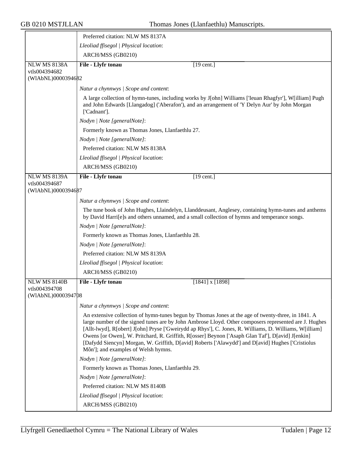|                                     | Preferred citation: NLW MS 8137A                                                                                                                                                                                                                                                                                                                                                                                                                                                                                                                                      |
|-------------------------------------|-----------------------------------------------------------------------------------------------------------------------------------------------------------------------------------------------------------------------------------------------------------------------------------------------------------------------------------------------------------------------------------------------------------------------------------------------------------------------------------------------------------------------------------------------------------------------|
|                                     | Lleoliad ffisegol   Physical location:                                                                                                                                                                                                                                                                                                                                                                                                                                                                                                                                |
|                                     | ARCH/MSS (GB0210)                                                                                                                                                                                                                                                                                                                                                                                                                                                                                                                                                     |
| <b>NLW MS 8138A</b>                 | File - Llyfr tonau<br>$[19 \text{ cent.}]$                                                                                                                                                                                                                                                                                                                                                                                                                                                                                                                            |
| vtls004394682<br>(WIAbNL)0000394682 |                                                                                                                                                                                                                                                                                                                                                                                                                                                                                                                                                                       |
|                                     |                                                                                                                                                                                                                                                                                                                                                                                                                                                                                                                                                                       |
|                                     | Natur a chynnwys / Scope and content:                                                                                                                                                                                                                                                                                                                                                                                                                                                                                                                                 |
|                                     | A large collection of hymn-tunes, including works by J[ohn] Williams ['Ieuan Rhagfyr'], W[illiam] Pugh<br>and John Edwards [Llangadog] ('Aberafon'), and an arrangement of 'Y Delyn Aur' by John Morgan<br>['Cadnant'].                                                                                                                                                                                                                                                                                                                                               |
|                                     | Nodyn   Note [generalNote]:                                                                                                                                                                                                                                                                                                                                                                                                                                                                                                                                           |
|                                     | Formerly known as Thomas Jones, Llanfaethlu 27.                                                                                                                                                                                                                                                                                                                                                                                                                                                                                                                       |
|                                     | Nodyn   Note [generalNote]:                                                                                                                                                                                                                                                                                                                                                                                                                                                                                                                                           |
|                                     | Preferred citation: NLW MS 8138A                                                                                                                                                                                                                                                                                                                                                                                                                                                                                                                                      |
|                                     | Lleoliad ffisegol   Physical location:                                                                                                                                                                                                                                                                                                                                                                                                                                                                                                                                |
|                                     | ARCH/MSS (GB0210)                                                                                                                                                                                                                                                                                                                                                                                                                                                                                                                                                     |
| <b>NLW MS 8139A</b>                 | File - Llyfr tonau<br>$[19$ cent.]                                                                                                                                                                                                                                                                                                                                                                                                                                                                                                                                    |
| vtls004394687<br>(WIAbNL)0000394687 |                                                                                                                                                                                                                                                                                                                                                                                                                                                                                                                                                                       |
|                                     | Natur a chynnwys / Scope and content:                                                                                                                                                                                                                                                                                                                                                                                                                                                                                                                                 |
|                                     | The tune book of John Hughes, Llaindelyn, Llanddeusant, Anglesey, containing hymn-tunes and anthems<br>by David Harri[e]s and others unnamed, and a small collection of hymns and temperance songs.                                                                                                                                                                                                                                                                                                                                                                   |
|                                     | Nodyn   Note [generalNote]:                                                                                                                                                                                                                                                                                                                                                                                                                                                                                                                                           |
|                                     | Formerly known as Thomas Jones, Llanfaethlu 28.                                                                                                                                                                                                                                                                                                                                                                                                                                                                                                                       |
|                                     | Nodyn   Note [generalNote]:                                                                                                                                                                                                                                                                                                                                                                                                                                                                                                                                           |
|                                     | Preferred citation: NLW MS 8139A                                                                                                                                                                                                                                                                                                                                                                                                                                                                                                                                      |
|                                     | Lleoliad ffisegol   Physical location:                                                                                                                                                                                                                                                                                                                                                                                                                                                                                                                                |
|                                     | ARCH/MSS (GB0210)                                                                                                                                                                                                                                                                                                                                                                                                                                                                                                                                                     |
| <b>NLW MS 8140B</b>                 | File - Llyfr tonau<br>$[1841]$ x $[1898]$                                                                                                                                                                                                                                                                                                                                                                                                                                                                                                                             |
| vtls004394708                       |                                                                                                                                                                                                                                                                                                                                                                                                                                                                                                                                                                       |
| (WIAbNL)0000394708                  |                                                                                                                                                                                                                                                                                                                                                                                                                                                                                                                                                                       |
|                                     | Natur a chynnwys / Scope and content:                                                                                                                                                                                                                                                                                                                                                                                                                                                                                                                                 |
|                                     | An extensive collection of hymn-tunes begun by Thomas Jones at the age of twenty-three, in 1841. A<br>large number of the signed tunes are by John Ambrose Lloyd. Other composers represented are J. Hughes<br>[Allt-lwyd], R[obert] J[ohn] Pryse ['Gweirydd ap Rhys'], C. Jones, R. Williams, D. Williams, W[illiam]<br>Owens [or Owen], W. Pritchard, R. Griffith, R[osser] Beynon ['Asaph Glan Taf'], D[avid] J[enkin]<br>[Dafydd Siencyn] Morgan, W. Griffith, D[avid] Roberts ['Alawydd'] and D[avid] Hughes ['Cristiolus<br>Môn']; and examples of Welsh hymns. |
|                                     | Nodyn   Note [generalNote]:                                                                                                                                                                                                                                                                                                                                                                                                                                                                                                                                           |
|                                     | Formerly known as Thomas Jones, Llanfaethlu 29.                                                                                                                                                                                                                                                                                                                                                                                                                                                                                                                       |
|                                     | Nodyn   Note [generalNote]:                                                                                                                                                                                                                                                                                                                                                                                                                                                                                                                                           |
|                                     | Preferred citation: NLW MS 8140B                                                                                                                                                                                                                                                                                                                                                                                                                                                                                                                                      |
|                                     | Lleoliad ffisegol   Physical location:                                                                                                                                                                                                                                                                                                                                                                                                                                                                                                                                |
|                                     | ARCH/MSS (GB0210)                                                                                                                                                                                                                                                                                                                                                                                                                                                                                                                                                     |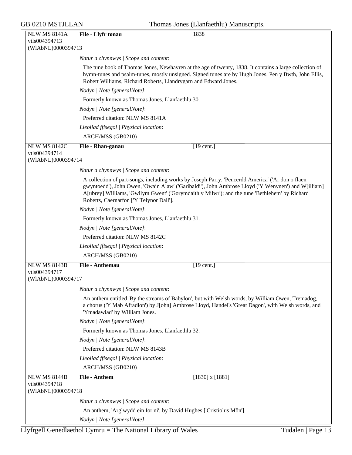| GB 0210 MSTJLLAN                                            | Thomas Jones (Llanfaethlu) Manuscripts.                                                                                                                                                                                                                                                                                                            |
|-------------------------------------------------------------|----------------------------------------------------------------------------------------------------------------------------------------------------------------------------------------------------------------------------------------------------------------------------------------------------------------------------------------------------|
| <b>NLW MS 8141A</b><br>vtls004394713                        | 1838<br>File - Llyfr tonau                                                                                                                                                                                                                                                                                                                         |
| (WIAbNL)00003947 13                                         |                                                                                                                                                                                                                                                                                                                                                    |
|                                                             | Natur a chynnwys / Scope and content:                                                                                                                                                                                                                                                                                                              |
|                                                             | The tune book of Thomas Jones, Newhavren at the age of twenty, 1838. It contains a large collection of<br>hymn-tunes and psalm-tunes, mostly unsigned. Signed tunes are by Hugh Jones, Pen y Bwth, John Ellis,<br>Robert Williams, Richard Roberts, Llandrygarn and Edward Jones.                                                                  |
|                                                             | Nodyn   Note [generalNote]:                                                                                                                                                                                                                                                                                                                        |
|                                                             | Formerly known as Thomas Jones, Llanfaethlu 30.                                                                                                                                                                                                                                                                                                    |
|                                                             | Nodyn   Note [generalNote]:                                                                                                                                                                                                                                                                                                                        |
|                                                             | Preferred citation: NLW MS 8141A                                                                                                                                                                                                                                                                                                                   |
|                                                             | Lleoliad ffisegol   Physical location:                                                                                                                                                                                                                                                                                                             |
|                                                             | ARCH/MSS (GB0210)                                                                                                                                                                                                                                                                                                                                  |
| <b>NLW MS 8142C</b>                                         | $[19 \text{ cent.}]$<br>File - Rhan-ganau                                                                                                                                                                                                                                                                                                          |
| vtls004394714<br>(WIAbNL)00003947 14                        |                                                                                                                                                                                                                                                                                                                                                    |
|                                                             | Natur a chynnwys / Scope and content:                                                                                                                                                                                                                                                                                                              |
|                                                             | A collection of part-songs, including works by Joseph Parry, 'Pencerdd America' ('Ar don o flaen<br>gwyntoedd'), John Owen, 'Owain Alaw' ('Garibaldi'), John Ambrose Lloyd ('Y Wenynen') and W[illiam]<br>A[ubrey] Williams, 'Gwilym Gwent' ('Gorymdaith y Milwr'); and the tune 'Bethlehem' by Richard<br>Roberts, Caernarfon ['Y Telynor Dall']. |
|                                                             | Nodyn   Note [generalNote]:                                                                                                                                                                                                                                                                                                                        |
|                                                             | Formerly known as Thomas Jones, Llanfaethlu 31.                                                                                                                                                                                                                                                                                                    |
|                                                             | Nodyn   Note [generalNote]:                                                                                                                                                                                                                                                                                                                        |
|                                                             | Preferred citation: NLW MS 8142C                                                                                                                                                                                                                                                                                                                   |
|                                                             | Lleoliad ffisegol   Physical location:                                                                                                                                                                                                                                                                                                             |
|                                                             | ARCH/MSS (GB0210)                                                                                                                                                                                                                                                                                                                                  |
| <b>NLW MS 8143B</b>                                         | File - Anthemau<br>$[19 \text{ cent.}]$                                                                                                                                                                                                                                                                                                            |
| vtls004394717<br>(WIAbNL)0000394717                         |                                                                                                                                                                                                                                                                                                                                                    |
|                                                             | Natur a chynnwys / Scope and content:                                                                                                                                                                                                                                                                                                              |
|                                                             | An anthem entitled 'By the streams of Babylon', but with Welsh words, by William Owen, Tremadog,<br>a chorus ('Y Mab Afradlon') by J[ohn] Ambrose Lloyd, Handel's 'Great Dagon', with Welsh words, and<br>'Ymadawiad' by William Jones.                                                                                                            |
|                                                             | Nodyn   Note [generalNote]:                                                                                                                                                                                                                                                                                                                        |
|                                                             | Formerly known as Thomas Jones, Llanfaethlu 32.                                                                                                                                                                                                                                                                                                    |
|                                                             | Nodyn   Note [generalNote]:                                                                                                                                                                                                                                                                                                                        |
|                                                             | Preferred citation: NLW MS 8143B                                                                                                                                                                                                                                                                                                                   |
|                                                             | Lleoliad ffisegol   Physical location:                                                                                                                                                                                                                                                                                                             |
|                                                             | ARCH/MSS (GB0210)                                                                                                                                                                                                                                                                                                                                  |
| <b>NLW MS 8144B</b><br>vtls004394718<br>(WIAbNL)00003947 18 | <b>File - Anthem</b><br>$[1830]$ x $[1881]$                                                                                                                                                                                                                                                                                                        |
|                                                             | Natur a chynnwys / Scope and content:                                                                                                                                                                                                                                                                                                              |
|                                                             | An anthem, 'Arglwydd ein Ior ni', by David Hughes ['Cristiolus Môn'].                                                                                                                                                                                                                                                                              |
|                                                             | Nodyn   Note [generalNote]:                                                                                                                                                                                                                                                                                                                        |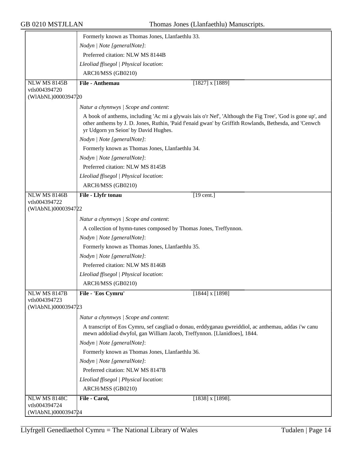|                                     | Formerly known as Thomas Jones, Llanfaethlu 33.                                                                                                                                                                                                              |  |  |  |
|-------------------------------------|--------------------------------------------------------------------------------------------------------------------------------------------------------------------------------------------------------------------------------------------------------------|--|--|--|
|                                     | Nodyn   Note [generalNote]:                                                                                                                                                                                                                                  |  |  |  |
|                                     | Preferred citation: NLW MS 8144B                                                                                                                                                                                                                             |  |  |  |
|                                     | Lleoliad ffisegol   Physical location:                                                                                                                                                                                                                       |  |  |  |
|                                     | ARCH/MSS (GB0210)                                                                                                                                                                                                                                            |  |  |  |
| <b>NLW MS 8145B</b>                 | File - Anthemau<br>$[1827]$ x $[1889]$                                                                                                                                                                                                                       |  |  |  |
| vtls004394720                       |                                                                                                                                                                                                                                                              |  |  |  |
| (WIAbNL)0000394720                  |                                                                                                                                                                                                                                                              |  |  |  |
|                                     | Natur a chynnwys / Scope and content:                                                                                                                                                                                                                        |  |  |  |
|                                     | A book of anthems, including 'Ac mi a glywais lais o'r Nef', 'Although the Fig Tree', 'God is gone up', and<br>other anthems by J. D. Jones, Ruthin, 'Paid f'enaid gwan' by Griffith Rowlands, Bethesda, and 'Cenwch<br>yr Udgorn yn Seion' by David Hughes. |  |  |  |
|                                     | Nodyn   Note [generalNote]:                                                                                                                                                                                                                                  |  |  |  |
|                                     | Formerly known as Thomas Jones, Llanfaethlu 34.                                                                                                                                                                                                              |  |  |  |
|                                     | Nodyn   Note [generalNote]:                                                                                                                                                                                                                                  |  |  |  |
|                                     | Preferred citation: NLW MS 8145B                                                                                                                                                                                                                             |  |  |  |
|                                     | Lleoliad ffisegol   Physical location:                                                                                                                                                                                                                       |  |  |  |
|                                     | ARCH/MSS (GB0210)                                                                                                                                                                                                                                            |  |  |  |
| <b>NLW MS 8146B</b>                 | File - Llyfr tonau<br>$[19$ cent.]                                                                                                                                                                                                                           |  |  |  |
| vtls004394722<br>(WIAbNL)0000394722 |                                                                                                                                                                                                                                                              |  |  |  |
|                                     | Natur a chynnwys / Scope and content:                                                                                                                                                                                                                        |  |  |  |
|                                     | A collection of hymn-tunes composed by Thomas Jones, Treffynnon.                                                                                                                                                                                             |  |  |  |
|                                     | Nodyn   Note [generalNote]:                                                                                                                                                                                                                                  |  |  |  |
|                                     | Formerly known as Thomas Jones, Llanfaethlu 35.                                                                                                                                                                                                              |  |  |  |
|                                     | Nodyn   Note [generalNote]:                                                                                                                                                                                                                                  |  |  |  |
|                                     | Preferred citation: NLW MS 8146B                                                                                                                                                                                                                             |  |  |  |
|                                     | Lleoliad ffisegol   Physical location:                                                                                                                                                                                                                       |  |  |  |
|                                     | ARCH/MSS (GB0210)                                                                                                                                                                                                                                            |  |  |  |
| <b>NLW MS 8147B</b>                 | File - 'Eos Cymru'<br>$[1844]$ x $[1898]$                                                                                                                                                                                                                    |  |  |  |
| vtls004394723                       |                                                                                                                                                                                                                                                              |  |  |  |
| (WIAbNL)0000394723                  |                                                                                                                                                                                                                                                              |  |  |  |
|                                     | Natur a chynnwys / Scope and content:                                                                                                                                                                                                                        |  |  |  |
|                                     | A transcript of Eos Cymru, sef casgliad o donau, erddyganau gwreiddiol, ac anthemau, addas i'w canu<br>mewn addoliad dwyfol, gan William Jacob, Treffynnon. [Llanidloes], 1844.                                                                              |  |  |  |
|                                     | Nodyn   Note [generalNote]:                                                                                                                                                                                                                                  |  |  |  |
|                                     | Formerly known as Thomas Jones, Llanfaethlu 36.                                                                                                                                                                                                              |  |  |  |
|                                     | Nodyn   Note [generalNote]:                                                                                                                                                                                                                                  |  |  |  |
|                                     | Preferred citation: NLW MS 8147B                                                                                                                                                                                                                             |  |  |  |
|                                     | Lleoliad ffisegol   Physical location:                                                                                                                                                                                                                       |  |  |  |
|                                     | ARCH/MSS (GB0210)                                                                                                                                                                                                                                            |  |  |  |
| <b>NLW MS 8148C</b>                 | File - Carol,<br>$[1838]$ x $[1898]$ .                                                                                                                                                                                                                       |  |  |  |
| vtls004394724<br>(WIAbNL)0000394724 |                                                                                                                                                                                                                                                              |  |  |  |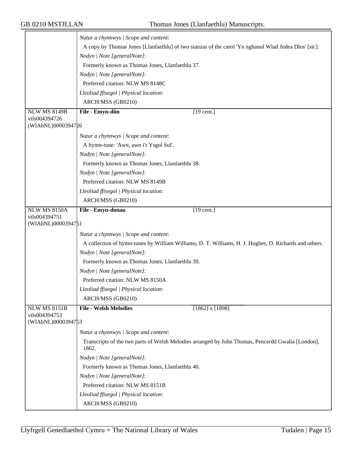|                                      | Natur a chynnwys / Scope and content:                                                                         |  |  |  |
|--------------------------------------|---------------------------------------------------------------------------------------------------------------|--|--|--|
|                                      | A copy by Thomas Jones [Llanfaethlu] of two stanzas of the carol 'Yn nghanol Wlad Judea Dlos' [sic].          |  |  |  |
|                                      | Nodyn   Note [generalNote]:                                                                                   |  |  |  |
|                                      |                                                                                                               |  |  |  |
|                                      | Formerly known as Thomas Jones, Llanfaethlu 37.                                                               |  |  |  |
|                                      | Nodyn   Note [generalNote]:                                                                                   |  |  |  |
|                                      | Preferred citation: NLW MS 8148C                                                                              |  |  |  |
|                                      | Lleoliad ffisegol   Physical location:                                                                        |  |  |  |
|                                      | ARCH/MSS (GB0210)                                                                                             |  |  |  |
| <b>NLW MS 8149B</b><br>vtls004394726 | File - Emyn-dôn<br>$[19$ cent.]                                                                               |  |  |  |
| (WIAbNL)0000394726                   |                                                                                                               |  |  |  |
|                                      | Natur a chynnwys / Scope and content:                                                                         |  |  |  |
|                                      | A hymn-tune: 'Awn, awn i'r Ysgol Sul'.                                                                        |  |  |  |
|                                      | Nodyn   Note [generalNote]:                                                                                   |  |  |  |
|                                      | Formerly known as Thomas Jones, Llanfaethlu 38.<br>Nodyn   Note [generalNote]:                                |  |  |  |
|                                      |                                                                                                               |  |  |  |
|                                      | Preferred citation: NLW MS 8149B                                                                              |  |  |  |
|                                      | Lleoliad ffisegol   Physical location:                                                                        |  |  |  |
|                                      | ARCH/MSS (GB0210)                                                                                             |  |  |  |
|                                      |                                                                                                               |  |  |  |
| <b>NLW MS 8150A</b><br>vtls004394751 | File - Emyn-donau<br>$\overline{19}$ cent.]                                                                   |  |  |  |
| (WIAbNL)0000394751                   |                                                                                                               |  |  |  |
|                                      | Natur a chynnwys / Scope and content:                                                                         |  |  |  |
|                                      | A collection of hymn-tunes by William Williams, D. T. Williams, H. J. Hughes, D. Richards and others.         |  |  |  |
|                                      | Nodyn   Note [generalNote]:<br>Formerly known as Thomas Jones, Llanfaethlu 39.<br>Nodyn   Note [generalNote]: |  |  |  |
|                                      |                                                                                                               |  |  |  |
|                                      |                                                                                                               |  |  |  |
|                                      | Preferred citation: NLW MS 8150A                                                                              |  |  |  |
|                                      | Lleoliad ffisegol   Physical location:                                                                        |  |  |  |
|                                      | ARCH/MSS (GB0210)                                                                                             |  |  |  |
| <b>NLW MS 8151B</b>                  | <b>File - Welsh Melodies</b><br>$[1862]$ x $[1898]$                                                           |  |  |  |
| vtls004394753                        |                                                                                                               |  |  |  |
| (WIAbNL)0000394753                   |                                                                                                               |  |  |  |
|                                      | Natur a chynnwys / Scope and content:                                                                         |  |  |  |
|                                      | Transcripts of the two parts of Welsh Melodies arranged by John Thomas, Pencerdd Gwalia [London],<br>1862.    |  |  |  |
|                                      | Nodyn   Note [generalNote]:                                                                                   |  |  |  |
|                                      | Formerly known as Thomas Jones, Llanfaethlu 40.                                                               |  |  |  |
|                                      | Nodyn   Note [generalNote]:<br>Preferred citation: NLW MS 8151B<br>Lleoliad ffisegol   Physical location:     |  |  |  |
|                                      |                                                                                                               |  |  |  |
|                                      |                                                                                                               |  |  |  |
|                                      | ARCH/MSS (GB0210)                                                                                             |  |  |  |